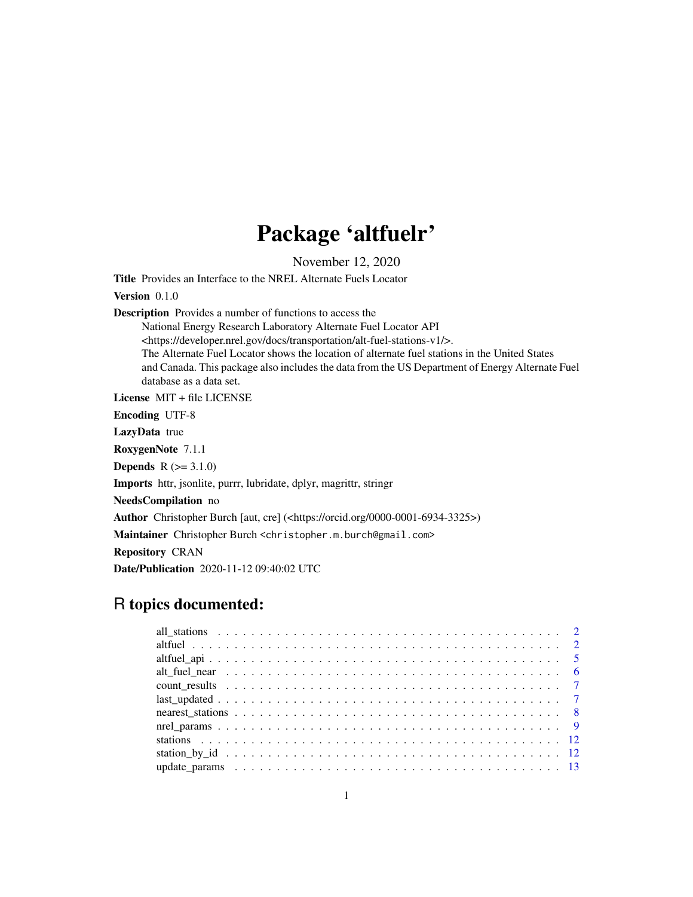# Package 'altfuelr'

November 12, 2020

Title Provides an Interface to the NREL Alternate Fuels Locator

Version 0.1.0

Description Provides a number of functions to access the

National Energy Research Laboratory Alternate Fuel Locator API <https://developer.nrel.gov/docs/transportation/alt-fuel-stations-v1/>. The Alternate Fuel Locator shows the location of alternate fuel stations in the United States and Canada. This package also includes the data from the US Department of Energy Alternate Fuel database as a data set.

License MIT + file LICENSE

Encoding UTF-8

LazyData true

RoxygenNote 7.1.1

**Depends**  $R (= 3.1.0)$ 

Imports httr, jsonlite, purrr, lubridate, dplyr, magrittr, stringr

NeedsCompilation no

Author Christopher Burch [aut, cre] (<https://orcid.org/0000-0001-6934-3325>)

Maintainer Christopher Burch <christopher.m.burch@gmail.com>

Repository CRAN

Date/Publication 2020-11-12 09:40:02 UTC

# R topics documented: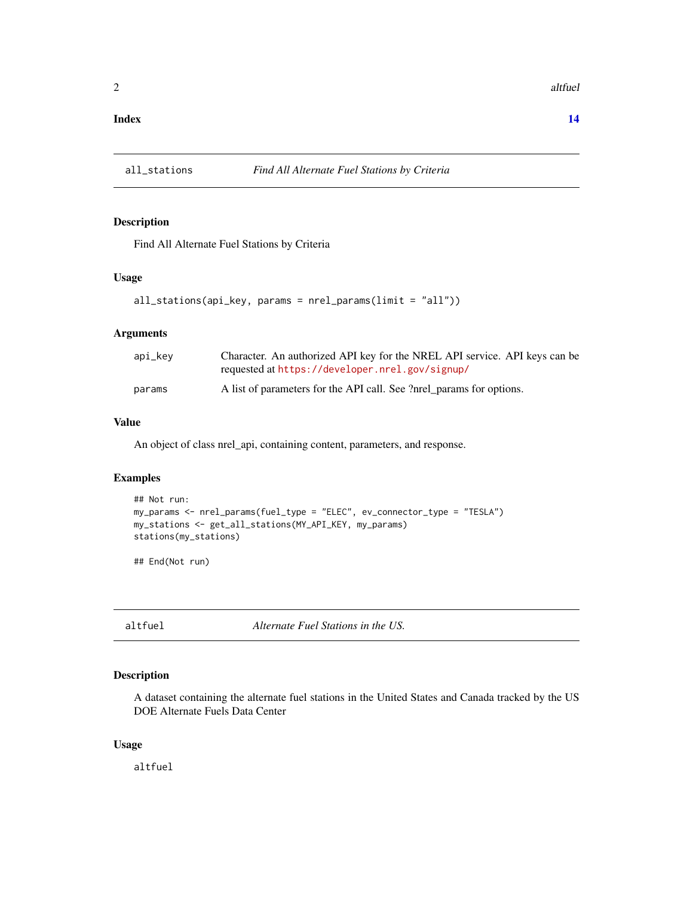#### <span id="page-1-0"></span>**Index** 2008 **[14](#page-13-0)**

# Description

Find All Alternate Fuel Stations by Criteria

#### Usage

```
all_stations(api_key, params = nrel_params(limit = "all"))
```
#### Arguments

| api_key | Character. An authorized API key for the NREL API service. API keys can be<br>requested at https://developer.nrel.gov/signup/ |
|---------|-------------------------------------------------------------------------------------------------------------------------------|
| params  | A list of parameters for the API call. See ?nrel_params for options.                                                          |

#### Value

An object of class nrel\_api, containing content, parameters, and response.

#### Examples

```
## Not run:
my_params <- nrel_params(fuel_type = "ELEC", ev_connector_type = "TESLA")
my_stations <- get_all_stations(MY_API_KEY, my_params)
stations(my_stations)
```
## End(Not run)

altfuel *Alternate Fuel Stations in the US.*

#### Description

A dataset containing the alternate fuel stations in the United States and Canada tracked by the US DOE Alternate Fuels Data Center

#### Usage

altfuel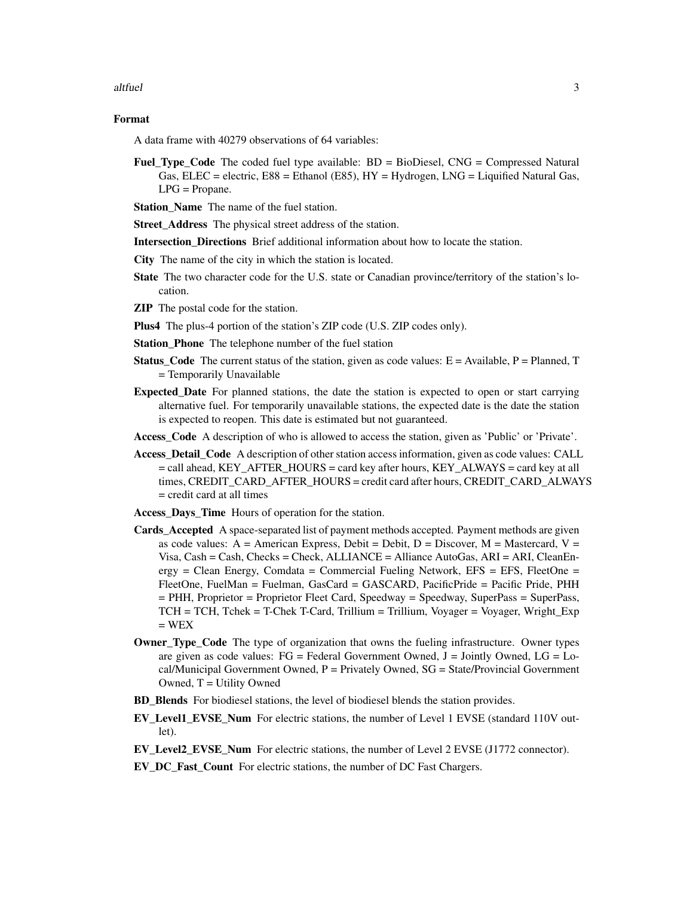#### altfuel 3

#### Format

A data frame with 40279 observations of 64 variables:

- Fuel\_Type\_Code The coded fuel type available: BD = BioDiesel, CNG = Compressed Natural Gas, ELEC = electric,  $E88$  = Ethanol (E85),  $HY$  = Hydrogen, LNG = Liquified Natural Gas, LPG = Propane.
- Station Name The name of the fuel station.

Street\_Address The physical street address of the station.

**Intersection Directions** Brief additional information about how to locate the station.

- City The name of the city in which the station is located.
- State The two character code for the U.S. state or Canadian province/territory of the station's location.
- ZIP The postal code for the station.
- Plus4 The plus-4 portion of the station's ZIP code (U.S. ZIP codes only).
- Station\_Phone The telephone number of the fuel station
- **Status\_Code** The current status of the station, given as code values:  $E =$  Available,  $P =$  Planned, T = Temporarily Unavailable
- Expected\_Date For planned stations, the date the station is expected to open or start carrying alternative fuel. For temporarily unavailable stations, the expected date is the date the station is expected to reopen. This date is estimated but not guaranteed.
- Access\_Code A description of who is allowed to access the station, given as 'Public' or 'Private'.
- Access\_Detail\_Code A description of other station access information, given as code values: CALL = call ahead, KEY\_AFTER\_HOURS = card key after hours, KEY\_ALWAYS = card key at all times, CREDIT\_CARD\_AFTER\_HOURS = credit card after hours, CREDIT\_CARD\_ALWAYS = credit card at all times
- Access\_Days\_Time Hours of operation for the station.
- Cards\_Accepted A space-separated list of payment methods accepted. Payment methods are given as code values:  $A =$  American Express, Debit = Debit, D = Discover, M = Mastercard, V = Visa,  $Cash = Cash$ ,  $Check = Check$ ,  $ALLIANCE = Alliance AutoGas$ ,  $ARI = ARI$ ,  $ClearEn$ ergy = Clean Energy, Comdata = Commercial Fueling Network, EFS = EFS, FleetOne = FleetOne, FuelMan = Fuelman, GasCard = GASCARD, PacificPride = Pacific Pride, PHH = PHH, Proprietor = Proprietor Fleet Card, Speedway = Speedway, SuperPass = SuperPass, TCH = TCH, Tchek = T-Chek T-Card, Trillium = Trillium, Voyager = Voyager, Wright\_Exp  $= WEX$
- **Owner\_Type\_Code** The type of organization that owns the fueling infrastructure. Owner types are given as code values:  $FG = Federal Government$  Owned,  $J = Jointly$  Owned,  $LG = Lo$  $cal/M$ unicipal Government Owned,  $P =$  Privately Owned,  $SG = State/Provid$ id Government Owned,  $T =$  Utility Owned
- BD\_Blends For biodiesel stations, the level of biodiesel blends the station provides.
- EV Level1 EVSE Num For electric stations, the number of Level 1 EVSE (standard 110V outlet).
- EV Level2 EVSE Num For electric stations, the number of Level 2 EVSE (J1772 connector).
- EV\_DC\_Fast\_Count For electric stations, the number of DC Fast Chargers.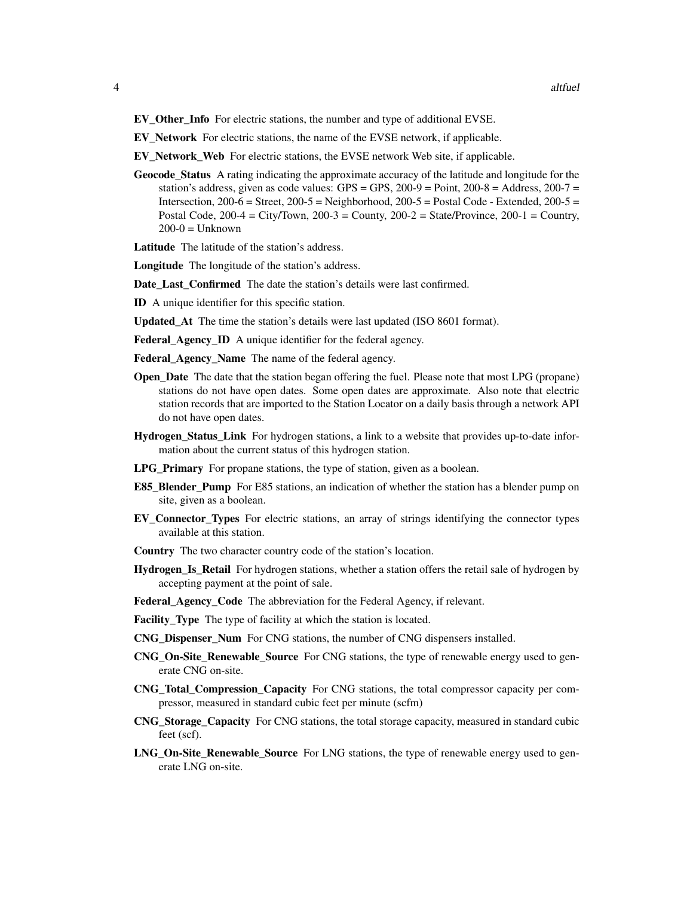- EV\_Other\_Info For electric stations, the number and type of additional EVSE.
- EV\_Network For electric stations, the name of the EVSE network, if applicable.
- EV\_Network\_Web For electric stations, the EVSE network Web site, if applicable.
- Geocode\_Status A rating indicating the approximate accuracy of the latitude and longitude for the station's address, given as code values: GPS = GPS,  $200-9$  = Point,  $200-8$  = Address,  $200-7$  = Intersection,  $200-6 =$  Street,  $200-5 =$  Neighborhood,  $200-5 =$  Postal Code - Extended,  $200-5 =$ Postal Code,  $200-4 = City/ Town$ ,  $200-3 = County$ ,  $200-2 = State/ Province$ ,  $200-1 = Country$ ,  $200-0 =$  Unknown
- Latitude The latitude of the station's address.
- Longitude The longitude of the station's address.
- Date Last Confirmed The date the station's details were last confirmed.
- ID A unique identifier for this specific station.
- Updated\_At The time the station's details were last updated (ISO 8601 format).
- Federal\_Agency\_ID A unique identifier for the federal agency.
- Federal\_Agency\_Name The name of the federal agency.
- **Open** Date The date that the station began offering the fuel. Please note that most LPG (propane) stations do not have open dates. Some open dates are approximate. Also note that electric station records that are imported to the Station Locator on a daily basis through a network API do not have open dates.
- Hydrogen\_Status\_Link For hydrogen stations, a link to a website that provides up-to-date information about the current status of this hydrogen station.
- LPG\_Primary For propane stations, the type of station, given as a boolean.
- **E85\_Blender\_Pump** For E85 stations, an indication of whether the station has a blender pump on site, given as a boolean.
- EV\_Connector\_Types For electric stations, an array of strings identifying the connector types available at this station.
- Country The two character country code of the station's location.
- Hydrogen\_Is\_Retail For hydrogen stations, whether a station offers the retail sale of hydrogen by accepting payment at the point of sale.
- Federal Agency Code The abbreviation for the Federal Agency, if relevant.
- Facility\_Type The type of facility at which the station is located.
- CNG\_Dispenser\_Num For CNG stations, the number of CNG dispensers installed.
- CNG\_On-Site\_Renewable\_Source For CNG stations, the type of renewable energy used to generate CNG on-site.
- CNG\_Total\_Compression\_Capacity For CNG stations, the total compressor capacity per compressor, measured in standard cubic feet per minute (scfm)
- CNG\_Storage\_Capacity For CNG stations, the total storage capacity, measured in standard cubic feet (scf).
- LNG\_On-Site\_Renewable\_Source For LNG stations, the type of renewable energy used to generate LNG on-site.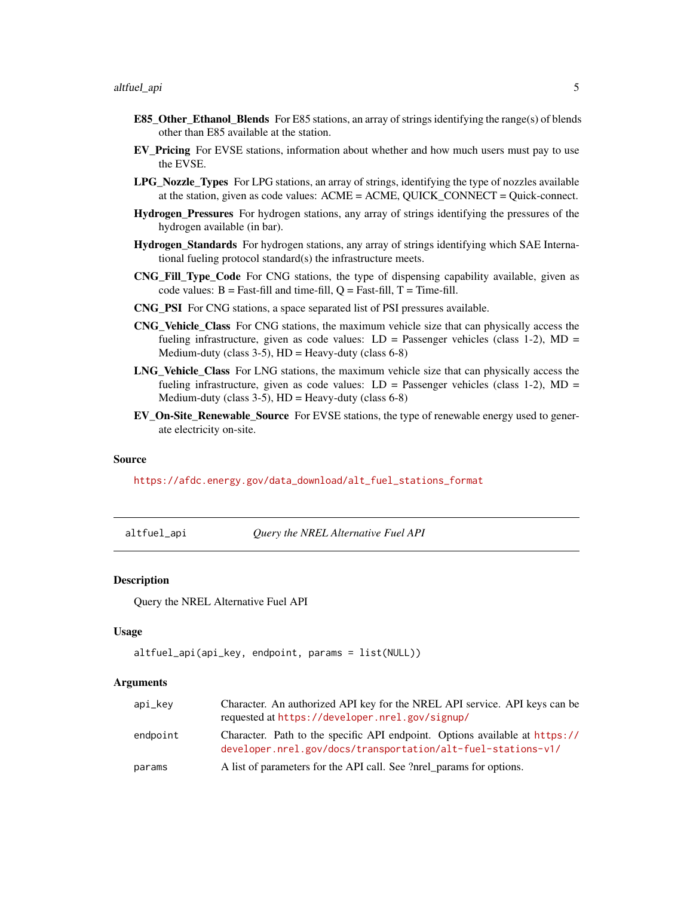- <span id="page-4-0"></span>**E85\_Other\_Ethanol\_Blends** For E85 stations, an array of strings identifying the range(s) of blends other than E85 available at the station.
- EV\_Pricing For EVSE stations, information about whether and how much users must pay to use the EVSE.
- LPG\_Nozzle\_Types For LPG stations, an array of strings, identifying the type of nozzles available at the station, given as code values: ACME = ACME, QUICK\_CONNECT = Quick-connect.
- Hydrogen\_Pressures For hydrogen stations, any array of strings identifying the pressures of the hydrogen available (in bar).
- Hydrogen\_Standards For hydrogen stations, any array of strings identifying which SAE International fueling protocol standard(s) the infrastructure meets.
- CNG\_Fill\_Type\_Code For CNG stations, the type of dispensing capability available, given as code values:  $B = Fast-fill$  and time-fill,  $Q = Fast-fill$ ,  $T = Time-fill$ .
- CNG\_PSI For CNG stations, a space separated list of PSI pressures available.
- CNG\_Vehicle\_Class For CNG stations, the maximum vehicle size that can physically access the fueling infrastructure, given as code values:  $LD =$  Passenger vehicles (class 1-2),  $MD =$ Medium-duty (class  $3-5$ ), HD = Heavy-duty (class  $6-8$ )
- LNG Vehicle Class For LNG stations, the maximum vehicle size that can physically access the fueling infrastructure, given as code values:  $LD =$  Passenger vehicles (class 1-2),  $MD =$ Medium-duty (class  $3-5$ ), HD = Heavy-duty (class  $6-8$ )
- EV\_On-Site\_Renewable\_Source For EVSE stations, the type of renewable energy used to generate electricity on-site.

#### Source

[https://afdc.energy.gov/data\\_download/alt\\_fuel\\_stations\\_format](https://afdc.energy.gov/data_download/alt_fuel_stations_format)

altfuel\_api *Query the NREL Alternative Fuel API*

#### Description

Query the NREL Alternative Fuel API

#### Usage

```
altfuel_api(api_key, endpoint, params = list(NULL))
```
#### Arguments

| api_kev  | Character. An authorized API key for the NREL API service. API keys can be<br>requested at https://developer.nrel.gov/signup/               |  |
|----------|---------------------------------------------------------------------------------------------------------------------------------------------|--|
| endpoint | Character. Path to the specific API endpoint. Options available at https://<br>developer.nrel.gov/docs/transportation/alt-fuel-stations-v1/ |  |
| params   | A list of parameters for the API call. See ?nrel_params for options.                                                                        |  |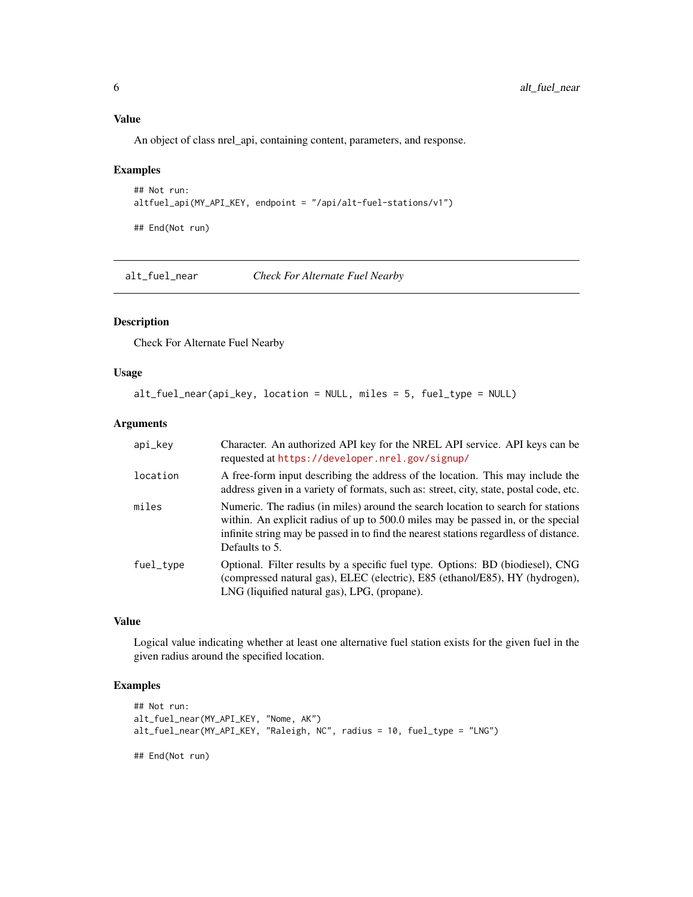# <span id="page-5-0"></span>Value

An object of class nrel\_api, containing content, parameters, and response.

# Examples

```
## Not run:
altfuel_api(MY_API_KEY, endpoint = "/api/alt-fuel-stations/v1")
```
## End(Not run)

alt\_fuel\_near *Check For Alternate Fuel Nearby*

# Description

Check For Alternate Fuel Nearby

# Usage

```
alt_fuel_near(api_key, location = NULL, miles = 5, fuel_type = NULL)
```
#### Arguments

| api_key   | Character. An authorized API key for the NREL API service. API keys can be<br>requested at https://developer.nrel.gov/signup/                                                                                                                                                   |
|-----------|---------------------------------------------------------------------------------------------------------------------------------------------------------------------------------------------------------------------------------------------------------------------------------|
| location  | A free-form input describing the address of the location. This may include the<br>address given in a variety of formats, such as: street, city, state, postal code, etc.                                                                                                        |
| miles     | Numeric. The radius (in miles) around the search location to search for stations<br>within. An explicit radius of up to 500.0 miles may be passed in, or the special<br>infinite string may be passed in to find the nearest stations regardless of distance.<br>Defaults to 5. |
| fuel_type | Optional. Filter results by a specific fuel type. Options: BD (biodiesel), CNG<br>(compressed natural gas), ELEC (electric), E85 (ethanol/E85), HY (hydrogen),<br>LNG (liquified natural gas), LPG, (propane).                                                                  |

#### Value

Logical value indicating whether at least one alternative fuel station exists for the given fuel in the given radius around the specified location.

# Examples

```
## Not run:
alt_fuel_near(MY_API_KEY, "Nome, AK")
alt_fuel_near(MY_API_KEY, "Raleigh, NC", radius = 10, fuel_type = "LNG")
## End(Not run)
```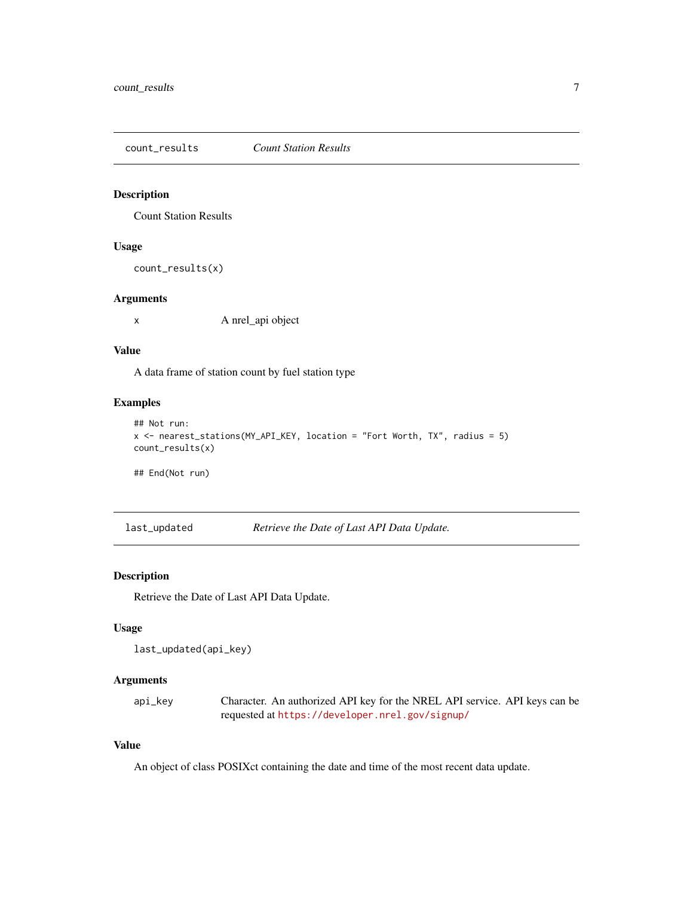<span id="page-6-0"></span>count\_results *Count Station Results*

# Description

Count Station Results

#### Usage

```
count_results(x)
```
#### Arguments

x A nrel\_api object

#### Value

A data frame of station count by fuel station type

# Examples

```
## Not run:
x <- nearest_stations(MY_API_KEY, location = "Fort Worth, TX", radius = 5)
count_results(x)
```
## End(Not run)

last\_updated *Retrieve the Date of Last API Data Update.*

# Description

Retrieve the Date of Last API Data Update.

# Usage

```
last_updated(api_key)
```
# Arguments

api\_key Character. An authorized API key for the NREL API service. API keys can be requested at <https://developer.nrel.gov/signup/>

# Value

An object of class POSIXct containing the date and time of the most recent data update.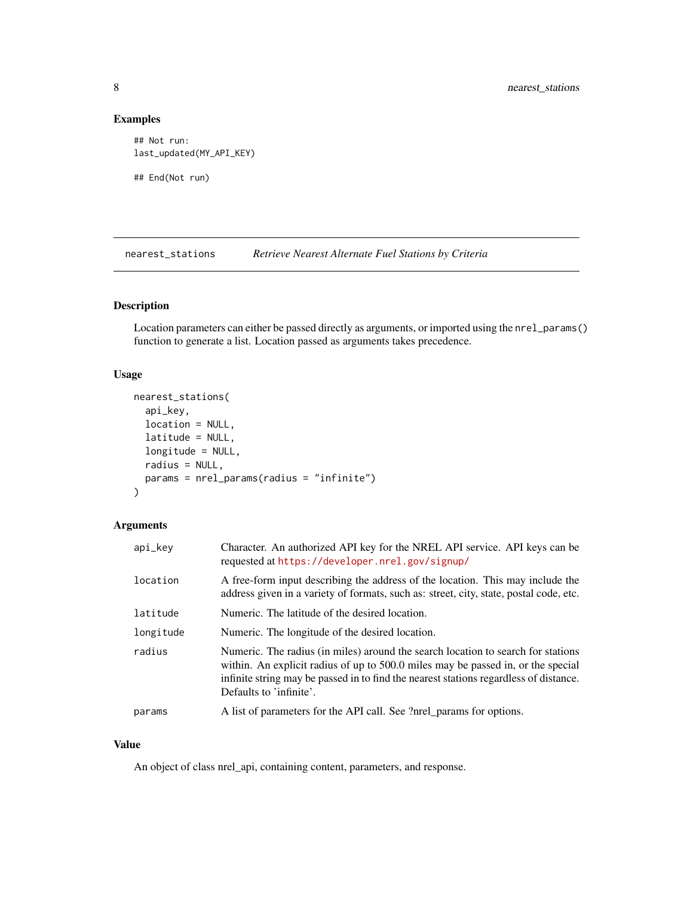# Examples

```
## Not run:
last_updated(MY_API_KEY)
## End(Not run)
```
nearest\_stations *Retrieve Nearest Alternate Fuel Stations by Criteria*

# Description

Location parameters can either be passed directly as arguments, or imported using the nrel\_params() function to generate a list. Location passed as arguments takes precedence.

# Usage

```
nearest_stations(
  api_key,
 location = NULL,
 latitude = NULL,
  longitude = NULL,
 radius = NULL,
 params = nrel_params(radius = "infinite")
)
```
# Arguments

| api_key   | Character. An authorized API key for the NREL API service. API keys can be<br>requested at https://developer.nrel.gov/signup/                                                                                                                                                            |  |
|-----------|------------------------------------------------------------------------------------------------------------------------------------------------------------------------------------------------------------------------------------------------------------------------------------------|--|
| location  | A free-form input describing the address of the location. This may include the<br>address given in a variety of formats, such as: street, city, state, postal code, etc.                                                                                                                 |  |
| latitude  | Numeric. The latitude of the desired location.                                                                                                                                                                                                                                           |  |
| longitude | Numeric. The longitude of the desired location.                                                                                                                                                                                                                                          |  |
| radius    | Numeric. The radius (in miles) around the search location to search for stations<br>within. An explicit radius of up to 500.0 miles may be passed in, or the special<br>infinite string may be passed in to find the nearest stations regardless of distance.<br>Defaults to 'infinite'. |  |
| params    | A list of parameters for the API call. See ?nrel_params for options.                                                                                                                                                                                                                     |  |

#### Value

An object of class nrel\_api, containing content, parameters, and response.

<span id="page-7-0"></span>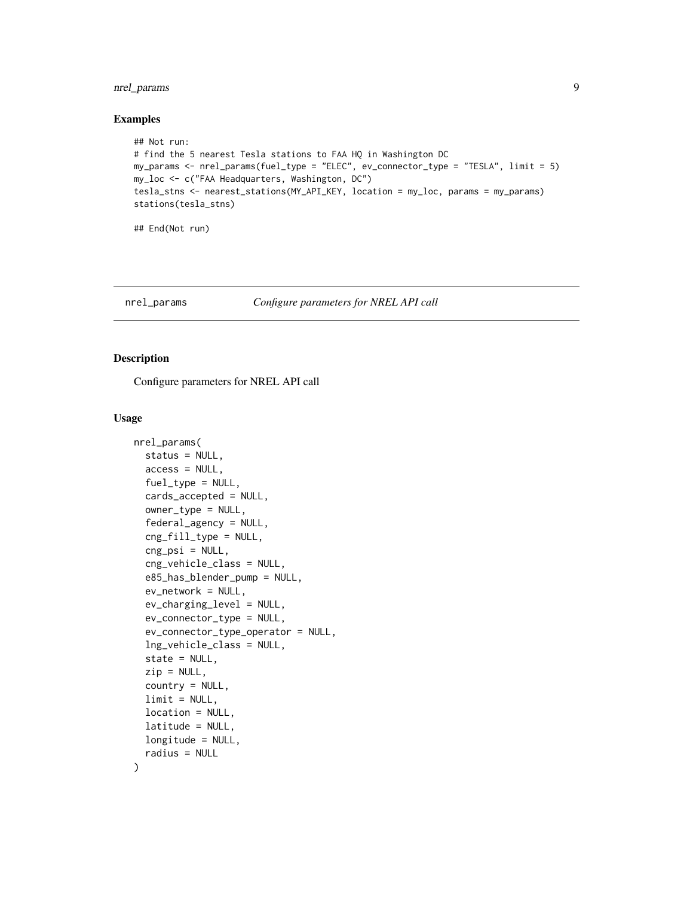# <span id="page-8-0"></span>nrel\_params 9

#### Examples

```
## Not run:
# find the 5 nearest Tesla stations to FAA HQ in Washington DC
my_params <- nrel_params(fuel_type = "ELEC", ev_connector_type = "TESLA", limit = 5)
my_loc <- c("FAA Headquarters, Washington, DC")
tesla_stns <- nearest_stations(MY_API_KEY, location = my_loc, params = my_params)
stations(tesla_stns)
```
## End(Not run)

# nrel\_params *Configure parameters for NREL API call*

#### Description

Configure parameters for NREL API call

#### Usage

```
nrel_params(
  status = NULL,
  access = NULL,fuel_type = NULL,
  cards_accepted = NULL,
  owner_type = NULL,
  federal_agency = NULL,
  cng_fill_type = NULL,
  cng<sub>psi</sub> = NULL,
  cng_vehicle_class = NULL,
  e85_has_blender_pump = NULL,
  ev_network = NULL,
  ev_charging_level = NULL,
  ev_connector_type = NULL,
  ev_connector_type_operator = NULL,
  lng_vehicle_class = NULL,
  state = NULL,
  zip = NULL,country = NULL,
  limit = NULL,location = NULL,
  latitude = NULL,
  longitude = NULL,
  radius = NULL
```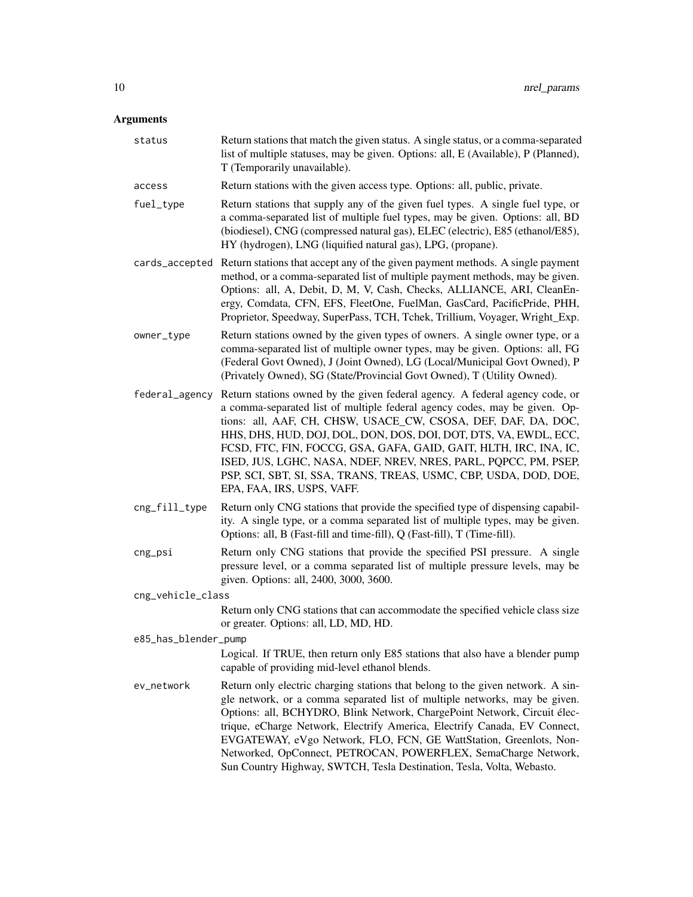# Arguments

| status               | Return stations that match the given status. A single status, or a comma-separated<br>list of multiple statuses, may be given. Options: all, E (Available), P (Planned),<br>T (Temporarily unavailable).                                                                                                                                                                                                                                                                                                                                   |
|----------------------|--------------------------------------------------------------------------------------------------------------------------------------------------------------------------------------------------------------------------------------------------------------------------------------------------------------------------------------------------------------------------------------------------------------------------------------------------------------------------------------------------------------------------------------------|
| access               | Return stations with the given access type. Options: all, public, private.                                                                                                                                                                                                                                                                                                                                                                                                                                                                 |
| fuel_type            | Return stations that supply any of the given fuel types. A single fuel type, or<br>a comma-separated list of multiple fuel types, may be given. Options: all, BD<br>(biodiesel), CNG (compressed natural gas), ELEC (electric), E85 (ethanol/E85),<br>HY (hydrogen), LNG (liquified natural gas), LPG, (propane).                                                                                                                                                                                                                          |
|                      | cards_accepted Return stations that accept any of the given payment methods. A single payment<br>method, or a comma-separated list of multiple payment methods, may be given.<br>Options: all, A, Debit, D, M, V, Cash, Checks, ALLIANCE, ARI, CleanEn-<br>ergy, Comdata, CFN, EFS, FleetOne, FuelMan, GasCard, PacificPride, PHH,<br>Proprietor, Speedway, SuperPass, TCH, Tchek, Trillium, Voyager, Wright_Exp.                                                                                                                          |
| owner_type           | Return stations owned by the given types of owners. A single owner type, or a<br>comma-separated list of multiple owner types, may be given. Options: all, FG<br>(Federal Govt Owned), J (Joint Owned), LG (Local/Municipal Govt Owned), P<br>(Privately Owned), SG (State/Provincial Govt Owned), T (Utility Owned).                                                                                                                                                                                                                      |
| federal_agency       | Return stations owned by the given federal agency. A federal agency code, or<br>a comma-separated list of multiple federal agency codes, may be given. Op-<br>tions: all, AAF, CH, CHSW, USACE_CW, CSOSA, DEF, DAF, DA, DOC,<br>HHS, DHS, HUD, DOJ, DOL, DON, DOS, DOI, DOT, DTS, VA, EWDL, ECC,<br>FCSD, FTC, FIN, FOCCG, GSA, GAFA, GAID, GAIT, HLTH, IRC, INA, IC,<br>ISED, JUS, LGHC, NASA, NDEF, NREV, NRES, PARL, PQPCC, PM, PSEP,<br>PSP, SCI, SBT, SI, SSA, TRANS, TREAS, USMC, CBP, USDA, DOD, DOE,<br>EPA, FAA, IRS, USPS, VAFF. |
| cng_fill_type        | Return only CNG stations that provide the specified type of dispensing capabil-<br>ity. A single type, or a comma separated list of multiple types, may be given.<br>Options: all, B (Fast-fill and time-fill), Q (Fast-fill), T (Time-fill).                                                                                                                                                                                                                                                                                              |
| cng_psi              | Return only CNG stations that provide the specified PSI pressure. A single<br>pressure level, or a comma separated list of multiple pressure levels, may be<br>given. Options: all, 2400, 3000, 3600.                                                                                                                                                                                                                                                                                                                                      |
| cng_vehicle_class    |                                                                                                                                                                                                                                                                                                                                                                                                                                                                                                                                            |
|                      | Return only CNG stations that can accommodate the specified vehicle class size<br>or greater. Options: all, LD, MD, HD.                                                                                                                                                                                                                                                                                                                                                                                                                    |
| e85_has_blender_pump |                                                                                                                                                                                                                                                                                                                                                                                                                                                                                                                                            |
|                      | Logical. If TRUE, then return only E85 stations that also have a blender pump<br>capable of providing mid-level ethanol blends.                                                                                                                                                                                                                                                                                                                                                                                                            |
| ev_network           | Return only electric charging stations that belong to the given network. A sin-<br>gle network, or a comma separated list of multiple networks, may be given.<br>Options: all, BCHYDRO, Blink Network, ChargePoint Network, Circuit élec-<br>trique, eCharge Network, Electrify America, Electrify Canada, EV Connect,<br>EVGATEWAY, eVgo Network, FLO, FCN, GE WattStation, Greenlots, Non-<br>Networked, OpConnect, PETROCAN, POWERFLEX, SemaCharge Network,<br>Sun Country Highway, SWTCH, Tesla Destination, Tesla, Volta, Webasto.    |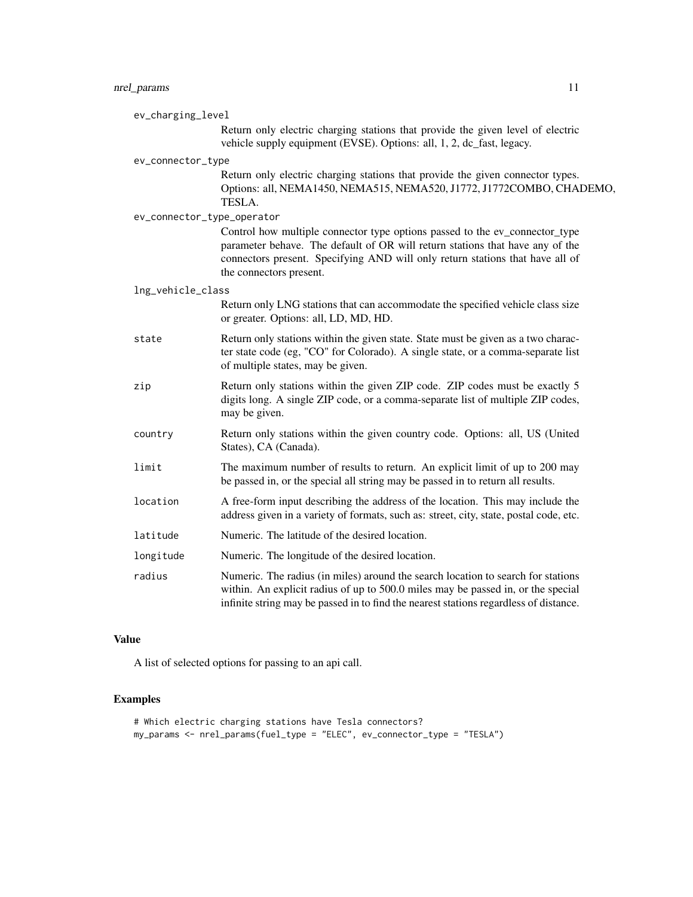# nrel\_params 11

| ev_charging_level |                            |                                                                                                                                                                                                                                                                          |
|-------------------|----------------------------|--------------------------------------------------------------------------------------------------------------------------------------------------------------------------------------------------------------------------------------------------------------------------|
|                   |                            | Return only electric charging stations that provide the given level of electric<br>vehicle supply equipment (EVSE). Options: all, 1, 2, dc_fast, legacy.                                                                                                                 |
|                   | ev_connector_type          |                                                                                                                                                                                                                                                                          |
|                   |                            | Return only electric charging stations that provide the given connector types.<br>Options: all, NEMA1450, NEMA515, NEMA520, J1772, J1772COMBO, CHADEMO,<br>TESLA.                                                                                                        |
|                   | ev_connector_type_operator |                                                                                                                                                                                                                                                                          |
|                   |                            | Control how multiple connector type options passed to the ev_connector_type<br>parameter behave. The default of OR will return stations that have any of the<br>connectors present. Specifying AND will only return stations that have all of<br>the connectors present. |
|                   | lng_vehicle_class          |                                                                                                                                                                                                                                                                          |
|                   |                            | Return only LNG stations that can accommodate the specified vehicle class size<br>or greater. Options: all, LD, MD, HD.                                                                                                                                                  |
|                   | state                      | Return only stations within the given state. State must be given as a two charac-<br>ter state code (eg, "CO" for Colorado). A single state, or a comma-separate list<br>of multiple states, may be given.                                                               |
|                   | zip                        | Return only stations within the given ZIP code. ZIP codes must be exactly 5<br>digits long. A single ZIP code, or a comma-separate list of multiple ZIP codes,<br>may be given.                                                                                          |
|                   | country                    | Return only stations within the given country code. Options: all, US (United<br>States), CA (Canada).                                                                                                                                                                    |
|                   | limit                      | The maximum number of results to return. An explicit limit of up to 200 may<br>be passed in, or the special all string may be passed in to return all results.                                                                                                           |
|                   | location                   | A free-form input describing the address of the location. This may include the<br>address given in a variety of formats, such as: street, city, state, postal code, etc.                                                                                                 |
|                   | latitude                   | Numeric. The latitude of the desired location.                                                                                                                                                                                                                           |
|                   | longitude                  | Numeric. The longitude of the desired location.                                                                                                                                                                                                                          |
|                   | radius                     | Numeric. The radius (in miles) around the search location to search for stations<br>within. An explicit radius of up to 500.0 miles may be passed in, or the special<br>infinite string may be passed in to find the nearest stations regardless of distance.            |

# Value

A list of selected options for passing to an api call.

# Examples

```
# Which electric charging stations have Tesla connectors?
my_params <- nrel_params(fuel_type = "ELEC", ev_connector_type = "TESLA")
```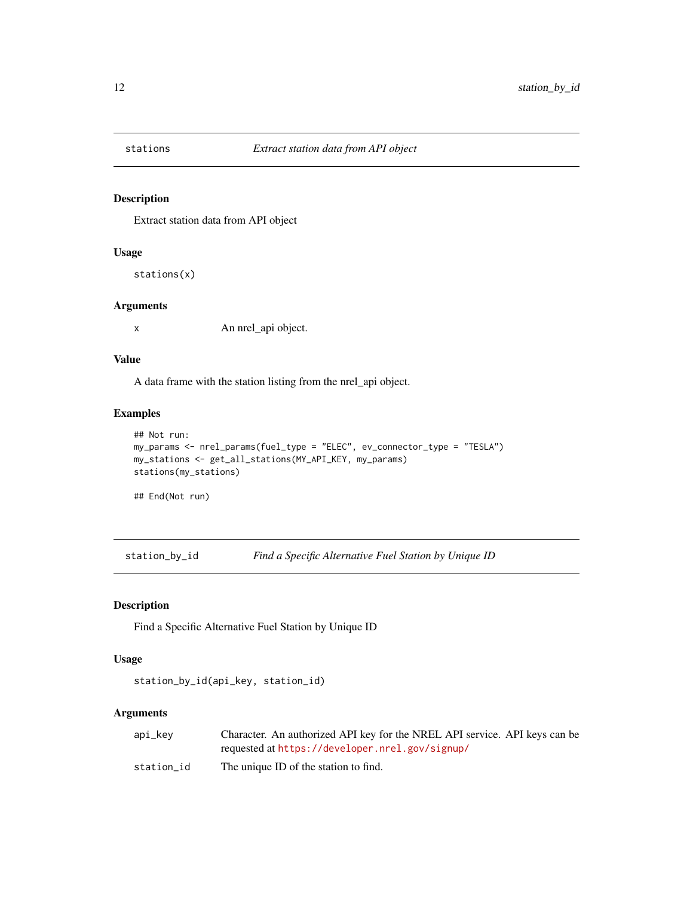<span id="page-11-0"></span>

# Description

Extract station data from API object

# Usage

stations(x)

#### Arguments

x An nrel\_api object.

#### Value

A data frame with the station listing from the nrel\_api object.

#### Examples

```
## Not run:
my_params <- nrel_params(fuel_type = "ELEC", ev_connector_type = "TESLA")
my_stations <- get_all_stations(MY_API_KEY, my_params)
stations(my_stations)
```
## End(Not run)

station\_by\_id *Find a Specific Alternative Fuel Station by Unique ID*

# Description

Find a Specific Alternative Fuel Station by Unique ID

#### Usage

```
station_by_id(api_key, station_id)
```
# Arguments

| api_kev    | Character. An authorized API key for the NREL API service. API keys can be |
|------------|----------------------------------------------------------------------------|
|            | requested at https://developer.nrel.gov/signup/                            |
| station id | The unique ID of the station to find.                                      |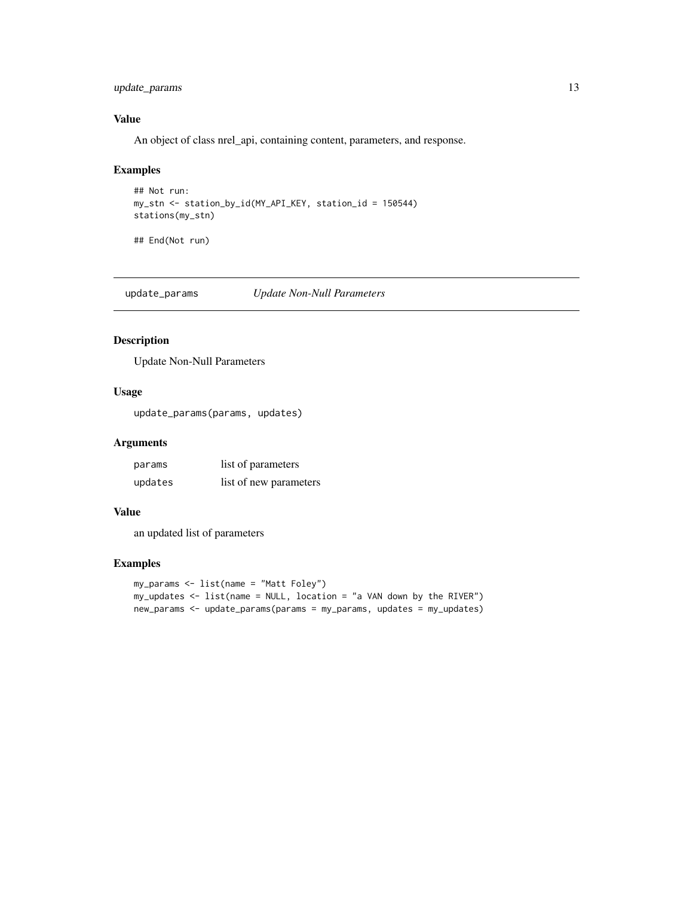# <span id="page-12-0"></span>update\_params 13

# Value

An object of class nrel\_api, containing content, parameters, and response.

## Examples

```
## Not run:
my_stn <- station_by_id(MY_API_KEY, station_id = 150544)
stations(my_stn)
```
## End(Not run)

update\_params *Update Non-Null Parameters*

# Description

Update Non-Null Parameters

# Usage

update\_params(params, updates)

#### Arguments

| params  | list of parameters     |
|---------|------------------------|
| updates | list of new parameters |

#### Value

an updated list of parameters

#### Examples

```
my_params <- list(name = "Matt Foley")
my_updates <- list(name = NULL, location = "a VAN down by the RIVER")
new_params <- update_params(params = my_params, updates = my_updates)
```